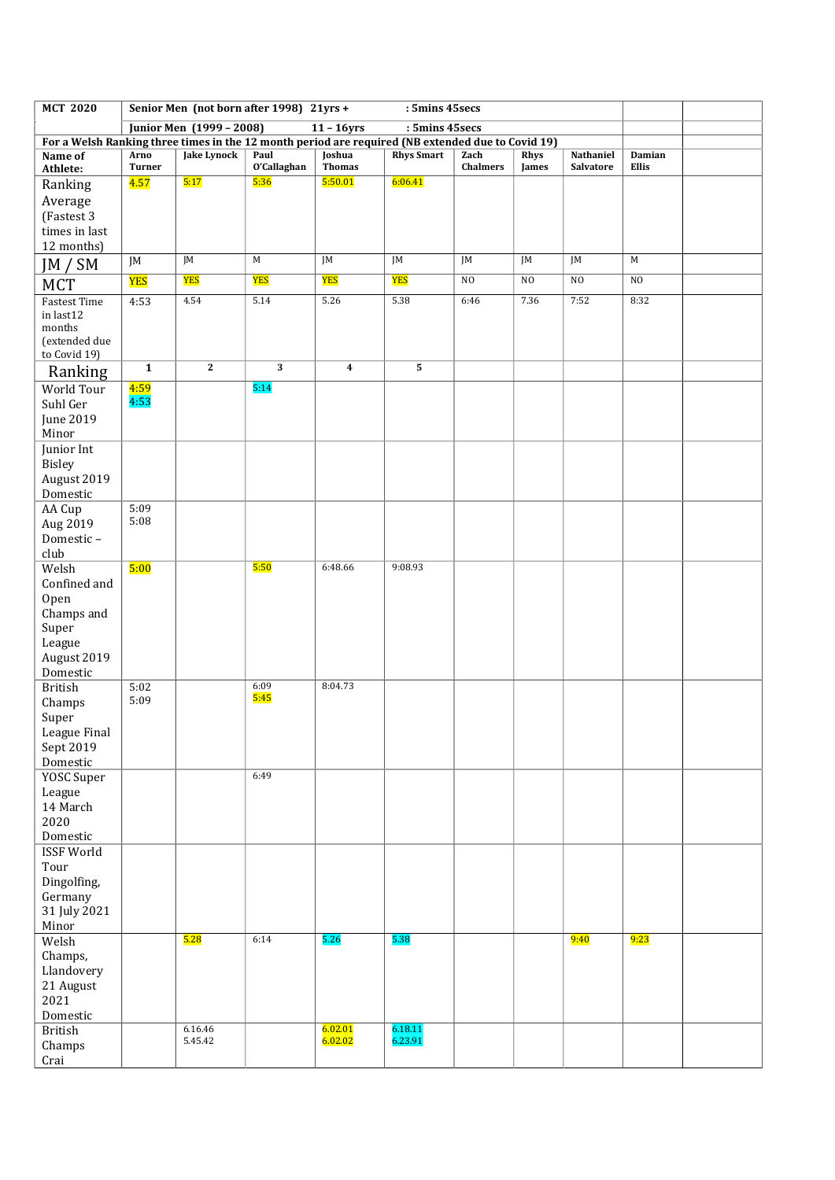| <b>MCT 2020</b>                  | Senior Men (not born after 1998) 21yrs +<br>: 5mins 45secs |                    |                         |                                                                                                   |                    |                         |                |                        |                 |  |
|----------------------------------|------------------------------------------------------------|--------------------|-------------------------|---------------------------------------------------------------------------------------------------|--------------------|-------------------------|----------------|------------------------|-----------------|--|
|                                  | : 5mins 45secs<br>Junior Men (1999 - 2008)<br>$11 - 16yrs$ |                    |                         |                                                                                                   |                    |                         |                |                        |                 |  |
|                                  |                                                            |                    |                         | For a Welsh Ranking three times in the 12 month period are required (NB extended due to Covid 19) |                    |                         |                |                        |                 |  |
| Name of<br>Athlete:              | Arno<br><b>Turner</b>                                      | Jake Lynock        | Paul<br>O'Callaghan     | Joshua<br><b>Thomas</b>                                                                           | <b>Rhys Smart</b>  | Zach<br><b>Chalmers</b> | Rhys<br>James  | Nathaniel<br>Salvatore | Damian<br>Ellis |  |
| Ranking                          | 4.57                                                       | 5:17               | 5:36                    | 5:50.01                                                                                           | 6:06.41            |                         |                |                        |                 |  |
| Average                          |                                                            |                    |                         |                                                                                                   |                    |                         |                |                        |                 |  |
| (Fastest 3                       |                                                            |                    |                         |                                                                                                   |                    |                         |                |                        |                 |  |
| times in last                    |                                                            |                    |                         |                                                                                                   |                    |                         |                |                        |                 |  |
| 12 months)                       |                                                            | JM                 | M                       | JM                                                                                                | JM                 | JM                      | JM             | JM                     | M               |  |
| JM / SM                          | JM                                                         |                    |                         |                                                                                                   |                    |                         |                |                        |                 |  |
| <b>MCT</b>                       | YES                                                        | YES                | <b>YES</b>              | YES                                                                                               | YES                | N <sub>O</sub>          | N <sub>O</sub> | NO                     | N <sub>O</sub>  |  |
| <b>Fastest Time</b><br>in last12 | 4:53                                                       | 4.54               | 5.14                    | 5.26                                                                                              | 5.38               | 6:46                    | 7.36           | 7:52                   | 8:32            |  |
| months                           |                                                            |                    |                         |                                                                                                   |                    |                         |                |                        |                 |  |
| (extended due                    |                                                            |                    |                         |                                                                                                   |                    |                         |                |                        |                 |  |
| to Covid 19)                     |                                                            | $\overline{2}$     | $\overline{\mathbf{3}}$ |                                                                                                   |                    |                         |                |                        |                 |  |
| Ranking                          | $\mathbf{1}$                                               |                    |                         | $\overline{\mathbf{4}}$                                                                           | 5                  |                         |                |                        |                 |  |
| <b>World Tour</b>                | <u>4:59</u><br>4:53                                        |                    | 5:14                    |                                                                                                   |                    |                         |                |                        |                 |  |
| Suhl Ger                         |                                                            |                    |                         |                                                                                                   |                    |                         |                |                        |                 |  |
| June 2019<br>Minor               |                                                            |                    |                         |                                                                                                   |                    |                         |                |                        |                 |  |
| Junior Int                       |                                                            |                    |                         |                                                                                                   |                    |                         |                |                        |                 |  |
| <b>Bisley</b>                    |                                                            |                    |                         |                                                                                                   |                    |                         |                |                        |                 |  |
| August 2019                      |                                                            |                    |                         |                                                                                                   |                    |                         |                |                        |                 |  |
| Domestic                         |                                                            |                    |                         |                                                                                                   |                    |                         |                |                        |                 |  |
| AA Cup                           | 5:09<br>5:08                                               |                    |                         |                                                                                                   |                    |                         |                |                        |                 |  |
| Aug 2019<br>Domestic-            |                                                            |                    |                         |                                                                                                   |                    |                         |                |                        |                 |  |
| club                             |                                                            |                    |                         |                                                                                                   |                    |                         |                |                        |                 |  |
| Welsh                            | 5:00                                                       |                    | 5:50                    | 6:48.66                                                                                           | 9:08.93            |                         |                |                        |                 |  |
| Confined and                     |                                                            |                    |                         |                                                                                                   |                    |                         |                |                        |                 |  |
| Open                             |                                                            |                    |                         |                                                                                                   |                    |                         |                |                        |                 |  |
| Champs and                       |                                                            |                    |                         |                                                                                                   |                    |                         |                |                        |                 |  |
| Super<br>League                  |                                                            |                    |                         |                                                                                                   |                    |                         |                |                        |                 |  |
| August 2019                      |                                                            |                    |                         |                                                                                                   |                    |                         |                |                        |                 |  |
| Domestic                         |                                                            |                    |                         |                                                                                                   |                    |                         |                |                        |                 |  |
| <b>British</b>                   | 5:02                                                       |                    | 6:09                    | 8:04.73                                                                                           |                    |                         |                |                        |                 |  |
| Champs                           | 5:09                                                       |                    | 5:45                    |                                                                                                   |                    |                         |                |                        |                 |  |
| Super                            |                                                            |                    |                         |                                                                                                   |                    |                         |                |                        |                 |  |
| League Final<br>Sept 2019        |                                                            |                    |                         |                                                                                                   |                    |                         |                |                        |                 |  |
| Domestic                         |                                                            |                    |                         |                                                                                                   |                    |                         |                |                        |                 |  |
| YOSC Super                       |                                                            |                    | 6:49                    |                                                                                                   |                    |                         |                |                        |                 |  |
| League                           |                                                            |                    |                         |                                                                                                   |                    |                         |                |                        |                 |  |
| 14 March                         |                                                            |                    |                         |                                                                                                   |                    |                         |                |                        |                 |  |
| 2020<br>Domestic                 |                                                            |                    |                         |                                                                                                   |                    |                         |                |                        |                 |  |
| <b>ISSF World</b>                |                                                            |                    |                         |                                                                                                   |                    |                         |                |                        |                 |  |
| Tour                             |                                                            |                    |                         |                                                                                                   |                    |                         |                |                        |                 |  |
| Dingolfing,                      |                                                            |                    |                         |                                                                                                   |                    |                         |                |                        |                 |  |
| Germany                          |                                                            |                    |                         |                                                                                                   |                    |                         |                |                        |                 |  |
| 31 July 2021                     |                                                            |                    |                         |                                                                                                   |                    |                         |                |                        |                 |  |
| Minor<br>Welsh                   |                                                            | 5.28               | 6:14                    | 5.26                                                                                              | 5.38               |                         |                | 9:40                   | 9:23            |  |
| Champs,                          |                                                            |                    |                         |                                                                                                   |                    |                         |                |                        |                 |  |
| Llandovery                       |                                                            |                    |                         |                                                                                                   |                    |                         |                |                        |                 |  |
| 21 August                        |                                                            |                    |                         |                                                                                                   |                    |                         |                |                        |                 |  |
| 2021                             |                                                            |                    |                         |                                                                                                   |                    |                         |                |                        |                 |  |
| Domestic                         |                                                            |                    |                         |                                                                                                   |                    |                         |                |                        |                 |  |
| <b>British</b>                   |                                                            | 6.16.46<br>5.45.42 |                         | 6.02.01<br>6.02.02                                                                                | 6.18.11<br>6.23.91 |                         |                |                        |                 |  |
| Champs<br>Crai                   |                                                            |                    |                         |                                                                                                   |                    |                         |                |                        |                 |  |
|                                  |                                                            |                    |                         |                                                                                                   |                    |                         |                |                        |                 |  |